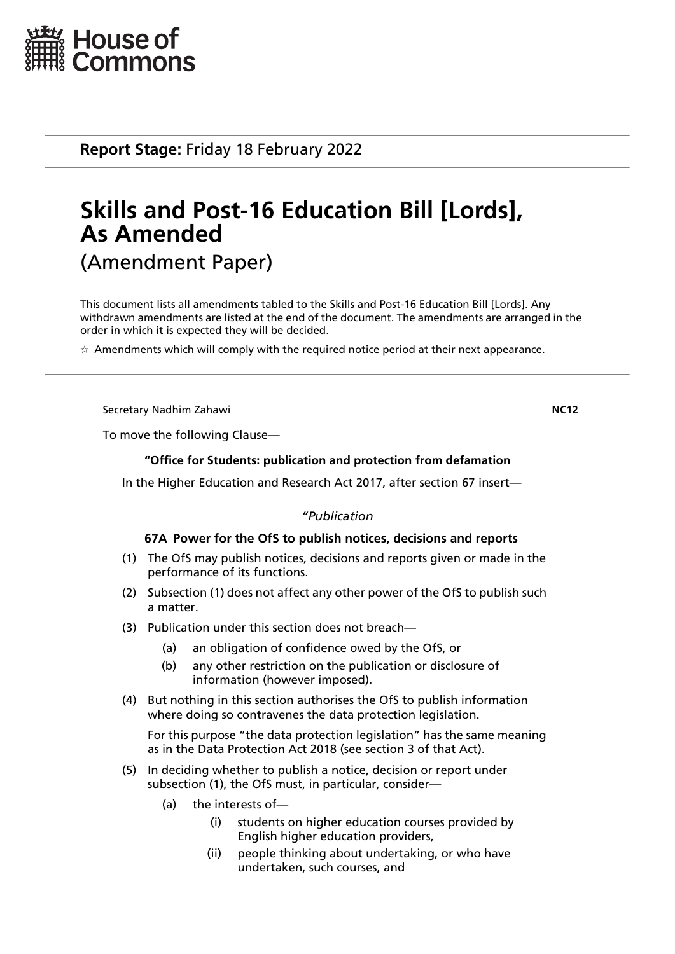

**Report Stage:** Friday 18 February 2022

# **Skills and Post-16 Education Bill [Lords], As Amended** (Amendment Paper)

This document lists all amendments tabled to the Skills and Post-16 Education Bill [Lords]. Any withdrawn amendments are listed at the end of the document. The amendments are arranged in the order in which it is expected they will be decided.

 $\star$  Amendments which will comply with the required notice period at their next appearance.

Secretary Nadhim Zahawi **NC12**

To move the following Clause—

# **"Office for Students: publication and protection from defamation**

In the Higher Education and Research Act 2017, after section 67 insert—

# *"Publication*

# **67A Power for the OfS to publish notices, decisions and reports**

- (1) The OfS may publish notices, decisions and reports given or made in the performance of its functions.
- (2) Subsection (1) does not affect any other power of the OfS to publish such a matter.
- (3) Publication under this section does not breach—
	- (a) an obligation of confidence owed by the OfS, or
	- (b) any other restriction on the publication or disclosure of information (however imposed).
- (4) But nothing in this section authorises the OfS to publish information where doing so contravenes the data protection legislation.

For this purpose "the data protection legislation" has the same meaning as in the Data Protection Act 2018 (see section 3 of that Act).

- (5) In deciding whether to publish a notice, decision or report under subsection (1), the OfS must, in particular, consider—
	- (a) the interests of—
		- (i) students on higher education courses provided by English higher education providers,
		- (ii) people thinking about undertaking, or who have undertaken, such courses, and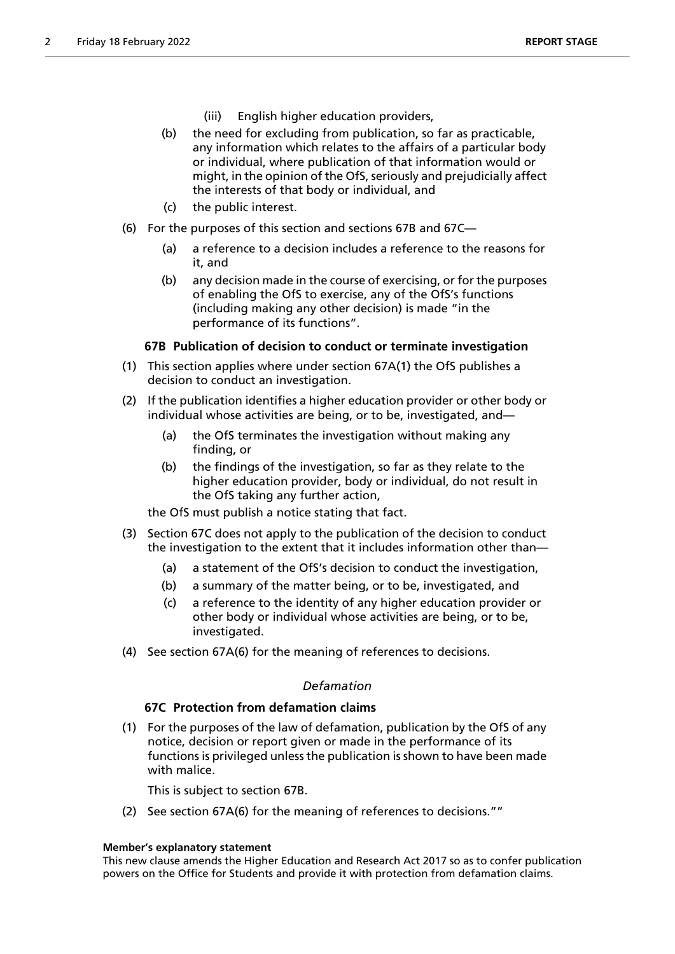- (iii) English higher education providers,
- (b) the need for excluding from publication, so far as practicable, any information which relates to the affairs of a particular body or individual, where publication of that information would or might, in the opinion of the OfS, seriously and prejudicially affect the interests of that body or individual, and
- (c) the public interest.
- (6) For the purposes of this section and sections 67B and 67C—
	- (a) a reference to a decision includes a reference to the reasons for it, and
	- (b) any decision made in the course of exercising, or for the purposes of enabling the OfS to exercise, any of the OfS's functions (including making any other decision) is made "in the performance of its functions".

# **67B Publication of decision to conduct or terminate investigation**

- (1) This section applies where under section 67A(1) the OfS publishes a decision to conduct an investigation.
- (2) If the publication identifies a higher education provider or other body or individual whose activities are being, or to be, investigated, and—
	- (a) the OfS terminates the investigation without making any finding, or
	- (b) the findings of the investigation, so far as they relate to the higher education provider, body or individual, do not result in the OfS taking any further action,

the OfS must publish a notice stating that fact.

- (3) Section 67C does not apply to the publication of the decision to conduct the investigation to the extent that it includes information other than—
	- (a) a statement of the OfS's decision to conduct the investigation,
	- (b) a summary of the matter being, or to be, investigated, and
	- (c) a reference to the identity of any higher education provider or other body or individual whose activities are being, or to be, investigated.
- (4) See section 67A(6) for the meaning of references to decisions.

# *Defamation*

# **67C Protection from defamation claims**

(1) For the purposes of the law of defamation, publication by the OfS of any notice, decision or report given or made in the performance of its functions is privileged unless the publication is shown to have been made with malice.

This is subject to section 67B.

(2) See section 67A(6) for the meaning of references to decisions.""

# **Member's explanatory statement**

This new clause amends the Higher Education and Research Act 2017 so as to confer publication powers on the Office for Students and provide it with protection from defamation claims.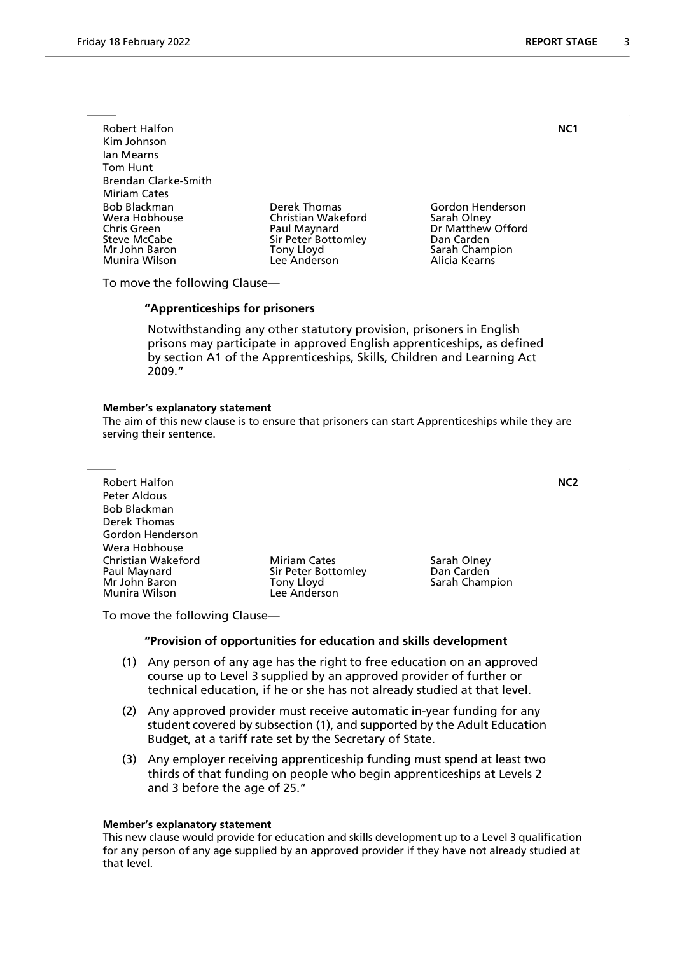Robert Halfon **NC1** Kim Johnson Ian Mearns Tom Hunt Brendan Clarke-Smith Miriam Cates Bob Blackman Derek Thomas Gordon Henderson Wera Hobhouse Christian Wakeford<br>
Chris Green Christian Olau Paul Maynard Chris Green **Paul Maynard** Dr Matthew Offord<br>
Sir Peter Bottomley Dan Carden<br>
Dan Carden Mr John Baron Tony Lloyd Sarah Champion Munira Wilson

Sir Peter Bottomley

To move the following Clause—

#### **"Apprenticeships for prisoners**

 Notwithstanding any other statutory provision, prisoners in English prisons may participate in approved English apprenticeships, as defined by section A1 of the Apprenticeships, Skills, Children and Learning Act 2009."

#### **Member's explanatory statement**

The aim of this new clause is to ensure that prisoners can start Apprenticeships while they are serving their sentence.

Robert Halfon **NC2** Peter Aldous Bob Blackman Derek Thomas Gordon Henderson Wera Hobhouse Christian Wakeford **Miriam Cates** Sarah Olney<br>
Paul Maynard **Miriam Cates** Sir Peter Bottomley **San Carden** Paul Maynard Sir Peter Bottomley<br>
Mr John Baron Saron Conv Lloyd Munira Wilson

Tony Lloyd **Tony Little Sarah Champion**<br>Lee Anderson

To move the following Clause—

#### **"Provision of opportunities for education and skills development**

- (1) Any person of any age has the right to free education on an approved course up to Level 3 supplied by an approved provider of further or technical education, if he or she has not already studied at that level.
- (2) Any approved provider must receive automatic in-year funding for any student covered by subsection (1), and supported by the Adult Education Budget, at a tariff rate set by the Secretary of State.
- (3) Any employer receiving apprenticeship funding must spend at least two thirds of that funding on people who begin apprenticeships at Levels 2 and 3 before the age of 25."

#### **Member's explanatory statement**

This new clause would provide for education and skills development up to a Level 3 qualification for any person of any age supplied by an approved provider if they have not already studied at that level.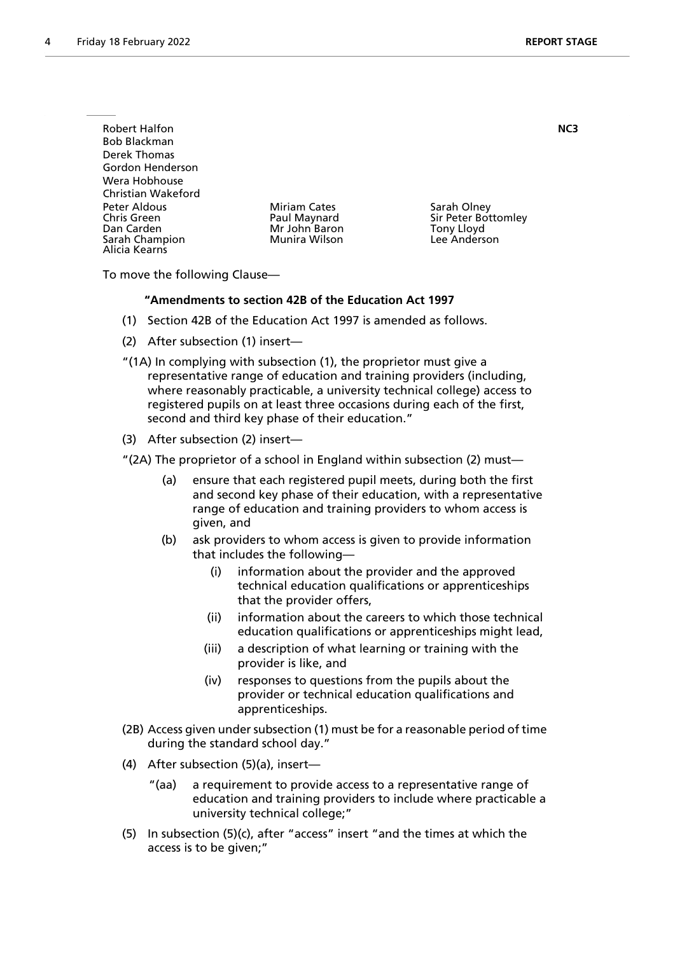| <b>Robert Halfon</b><br><b>Bob Blackman</b><br>Derek Thomas<br>Gordon Henderson |                                                                       |                                                                         | NC3 |
|---------------------------------------------------------------------------------|-----------------------------------------------------------------------|-------------------------------------------------------------------------|-----|
| Wera Hobhouse<br>Christian Wakeford                                             |                                                                       |                                                                         |     |
| Peter Aldous<br>Chris Green<br>Dan Carden<br>Sarah Champion<br>Alicia Kearns    | <b>Miriam Cates</b><br>Paul Maynard<br>Mr John Baron<br>Munira Wilson | Sarah Olney<br>Sir Peter Bottomley<br><b>Tony Lloyd</b><br>Lee Anderson |     |

To move the following Clause—

# **"Amendments to section 42B of the Education Act 1997**

- (1) Section 42B of the Education Act 1997 is amended as follows.
- (2) After subsection (1) insert—
- "(1A) In complying with subsection (1), the proprietor must give a representative range of education and training providers (including, where reasonably practicable, a university technical college) access to registered pupils on at least three occasions during each of the first, second and third key phase of their education."
- (3) After subsection (2) insert—
- "(2A) The proprietor of a school in England within subsection (2) must—
	- (a) ensure that each registered pupil meets, during both the first and second key phase of their education, with a representative range of education and training providers to whom access is given, and
	- (b) ask providers to whom access is given to provide information that includes the following
		- information about the provider and the approved technical education qualifications or apprenticeships that the provider offers,
		- (ii) information about the careers to which those technical education qualifications or apprenticeships might lead,
		- (iii) a description of what learning or training with the provider is like, and
		- (iv) responses to questions from the pupils about the provider or technical education qualifications and apprenticeships.
- (2B) Access given under subsection (1) must be for a reasonable period of time during the standard school day."
- (4) After subsection (5)(a), insert—
	- "(aa) a requirement to provide access to a representative range of education and training providers to include where practicable a university technical college;"
- (5) In subsection (5)(c), after "access" insert "and the times at which the access is to be given;"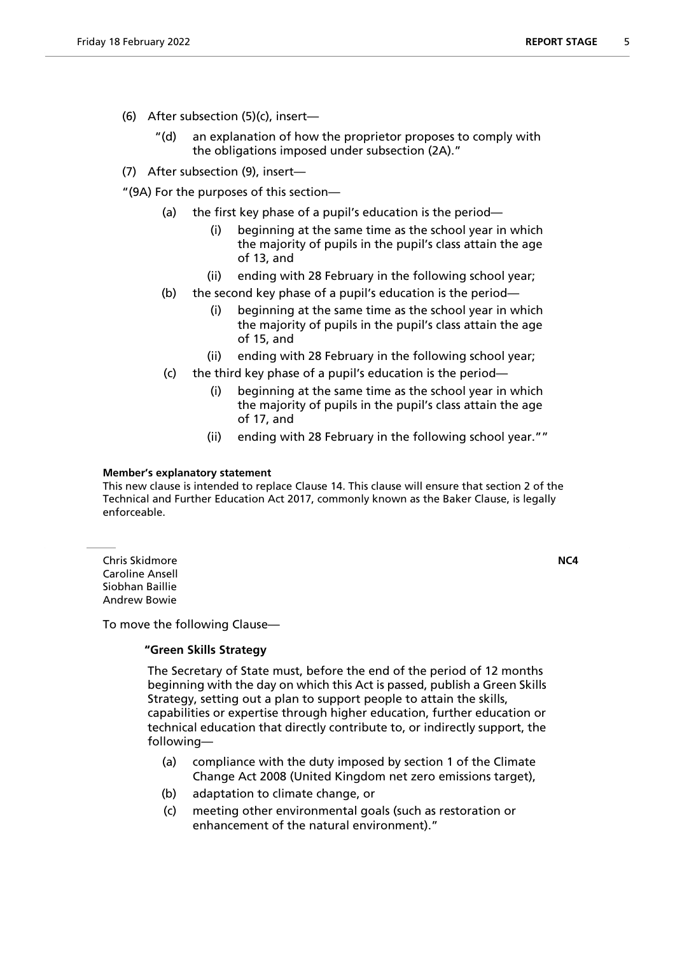- (6) After subsection (5)(c), insert—
	- "(d) an explanation of how the proprietor proposes to comply with the obligations imposed under subsection (2A)."
- (7) After subsection (9), insert—

"(9A) For the purposes of this section—

- (a) the first key phase of a pupil's education is the period—
	- (i) beginning at the same time as the school year in which the majority of pupils in the pupil's class attain the age of 13, and
	- (ii) ending with 28 February in the following school year;
- (b) the second key phase of a pupil's education is the period—
	- (i) beginning at the same time as the school year in which the majority of pupils in the pupil's class attain the age of 15, and
	- (ii) ending with 28 February in the following school year;
- (c) the third key phase of a pupil's education is the period
	- beginning at the same time as the school year in which the majority of pupils in the pupil's class attain the age of 17, and
	- (ii) ending with 28 February in the following school year.""

#### **Member's explanatory statement**

This new clause is intended to replace Clause 14. This clause will ensure that section 2 of the Technical and Further Education Act 2017, commonly known as the Baker Clause, is legally enforceable.

Chris Skidmore **NC4** Caroline Ansell Siobhan Baillie Andrew Bowie

To move the following Clause—

# **"Green Skills Strategy**

 The Secretary of State must, before the end of the period of 12 months beginning with the day on which this Act is passed, publish a Green Skills Strategy, setting out a plan to support people to attain the skills, capabilities or expertise through higher education, further education or technical education that directly contribute to, or indirectly support, the following—

- (a) compliance with the duty imposed by section 1 of the Climate Change Act 2008 (United Kingdom net zero emissions target),
- (b) adaptation to climate change, or
- (c) meeting other environmental goals (such as restoration or enhancement of the natural environment)."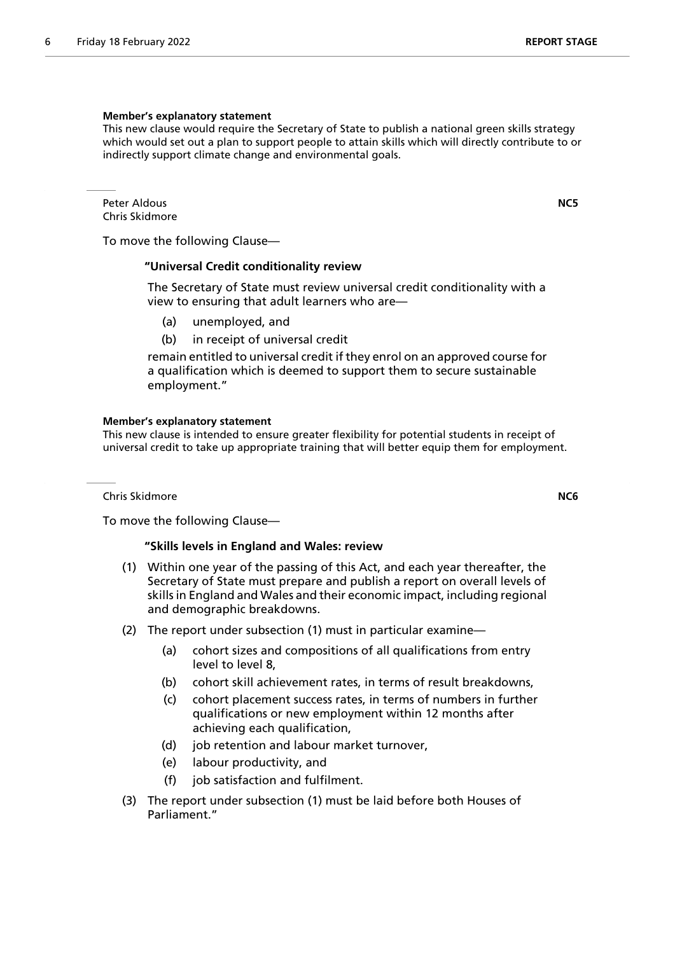#### **Member's explanatory statement**

This new clause would require the Secretary of State to publish a national green skills strategy which would set out a plan to support people to attain skills which will directly contribute to or indirectly support climate change and environmental goals.

Peter Aldous **NC5** Chris Skidmore

To move the following Clause—

#### **"Universal Credit conditionality review**

 The Secretary of State must review universal credit conditionality with a view to ensuring that adult learners who are—

- (a) unemployed, and
- (b) in receipt of universal credit

remain entitled to universal credit if they enrol on an approved course for a qualification which is deemed to support them to secure sustainable employment."

#### **Member's explanatory statement**

This new clause is intended to ensure greater flexibility for potential students in receipt of universal credit to take up appropriate training that will better equip them for employment.

Chris Skidmore **NC6**

To move the following Clause—

#### **"Skills levels in England and Wales: review**

- (1) Within one year of the passing of this Act, and each year thereafter, the Secretary of State must prepare and publish a report on overall levels of skills in England and Wales and their economic impact, including regional and demographic breakdowns.
- (2) The report under subsection (1) must in particular examine—
	- (a) cohort sizes and compositions of all qualifications from entry level to level 8,
	- (b) cohort skill achievement rates, in terms of result breakdowns,
	- (c) cohort placement success rates, in terms of numbers in further qualifications or new employment within 12 months after achieving each qualification,
	- (d) job retention and labour market turnover,
	- (e) labour productivity, and
	- (f) job satisfaction and fulfilment.
- (3) The report under subsection (1) must be laid before both Houses of Parliament."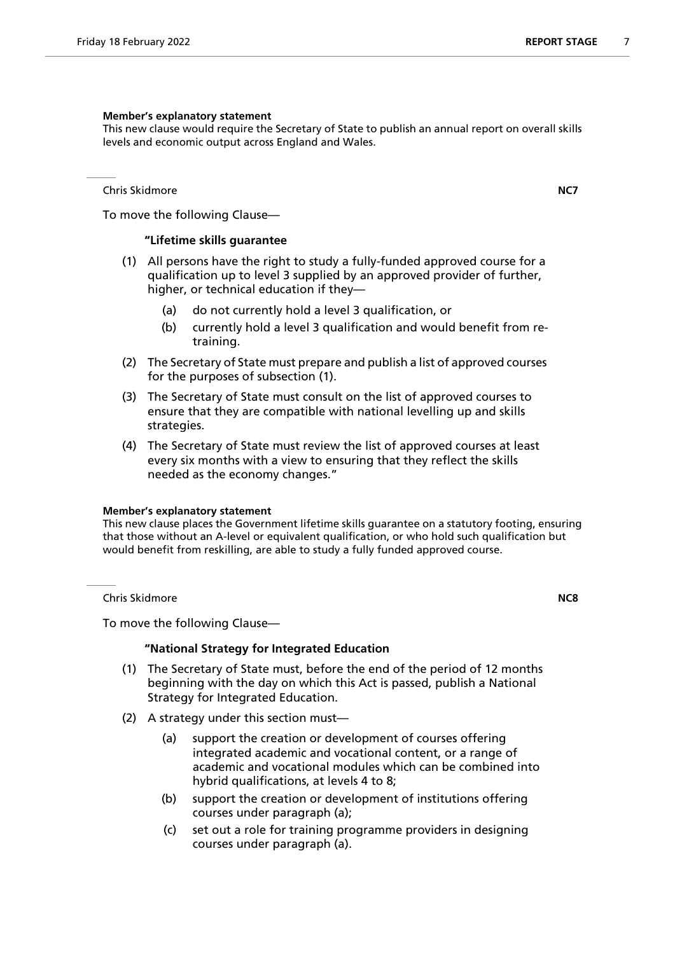#### **Member's explanatory statement**

This new clause would require the Secretary of State to publish an annual report on overall skills levels and economic output across England and Wales.

Chris Skidmore **NC7**

To move the following Clause—

# **"Lifetime skills guarantee**

- (1) All persons have the right to study a fully-funded approved course for a qualification up to level 3 supplied by an approved provider of further, higher, or technical education if they—
	- (a) do not currently hold a level 3 qualification, or
	- (b) currently hold a level 3 qualification and would benefit from retraining.
- (2) The Secretary of State must prepare and publish a list of approved courses for the purposes of subsection (1).
- (3) The Secretary of State must consult on the list of approved courses to ensure that they are compatible with national levelling up and skills strategies.
- (4) The Secretary of State must review the list of approved courses at least every six months with a view to ensuring that they reflect the skills needed as the economy changes."

#### **Member's explanatory statement**

This new clause places the Government lifetime skills guarantee on a statutory footing, ensuring that those without an A-level or equivalent qualification, or who hold such qualification but would benefit from reskilling, are able to study a fully funded approved course.

Chris Skidmore **NC8**

To move the following Clause—

#### **"National Strategy for Integrated Education**

- (1) The Secretary of State must, before the end of the period of 12 months beginning with the day on which this Act is passed, publish a National Strategy for Integrated Education.
- (2) A strategy under this section must—
	- (a) support the creation or development of courses offering integrated academic and vocational content, or a range of academic and vocational modules which can be combined into hybrid qualifications, at levels 4 to 8;
	- (b) support the creation or development of institutions offering courses under paragraph (a);
	- (c) set out a role for training programme providers in designing courses under paragraph (a).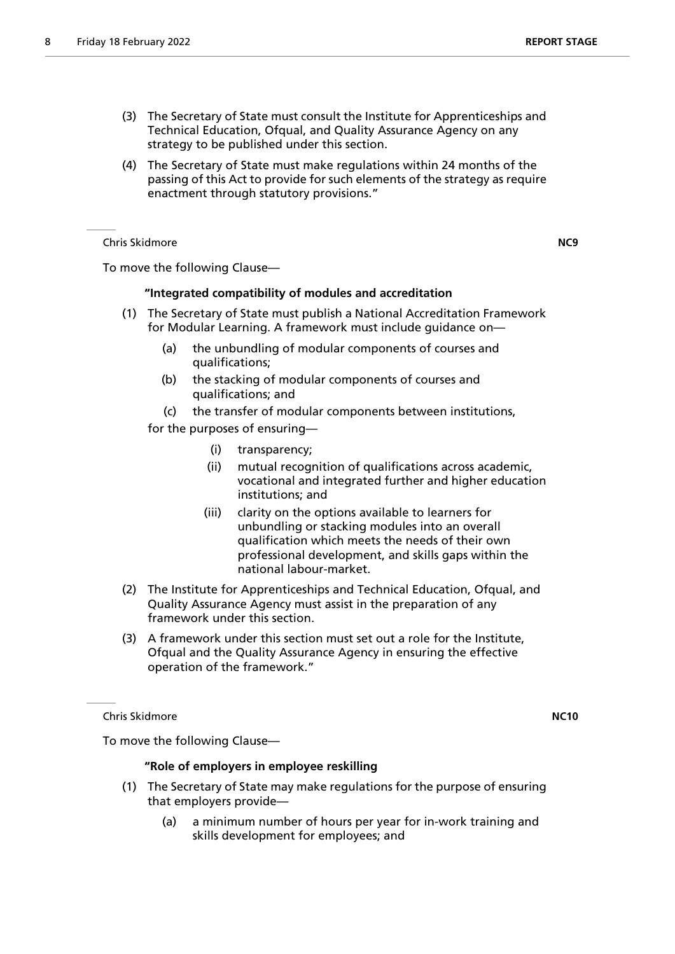- (3) The Secretary of State must consult the Institute for Apprenticeships and Technical Education, Ofqual, and Quality Assurance Agency on any strategy to be published under this section.
- (4) The Secretary of State must make regulations within 24 months of the passing of this Act to provide for such elements of the strategy as require enactment through statutory provisions."

Chris Skidmore **NC9**

To move the following Clause—

# **"Integrated compatibility of modules and accreditation**

- (1) The Secretary of State must publish a National Accreditation Framework for Modular Learning. A framework must include guidance on—
	- (a) the unbundling of modular components of courses and qualifications;
	- (b) the stacking of modular components of courses and qualifications; and
	- (c) the transfer of modular components between institutions,

for the purposes of ensuring—

- (i) transparency;
- (ii) mutual recognition of qualifications across academic, vocational and integrated further and higher education institutions; and
- (iii) clarity on the options available to learners for unbundling or stacking modules into an overall qualification which meets the needs of their own professional development, and skills gaps within the national labour-market.
- (2) The Institute for Apprenticeships and Technical Education, Ofqual, and Quality Assurance Agency must assist in the preparation of any framework under this section.
- (3) A framework under this section must set out a role for the Institute, Ofqual and the Quality Assurance Agency in ensuring the effective operation of the framework."

Chris Skidmore **NC10**

To move the following Clause—

# **"Role of employers in employee reskilling**

- (1) The Secretary of State may make regulations for the purpose of ensuring that employers provide—
	- (a) a minimum number of hours per year for in-work training and skills development for employees; and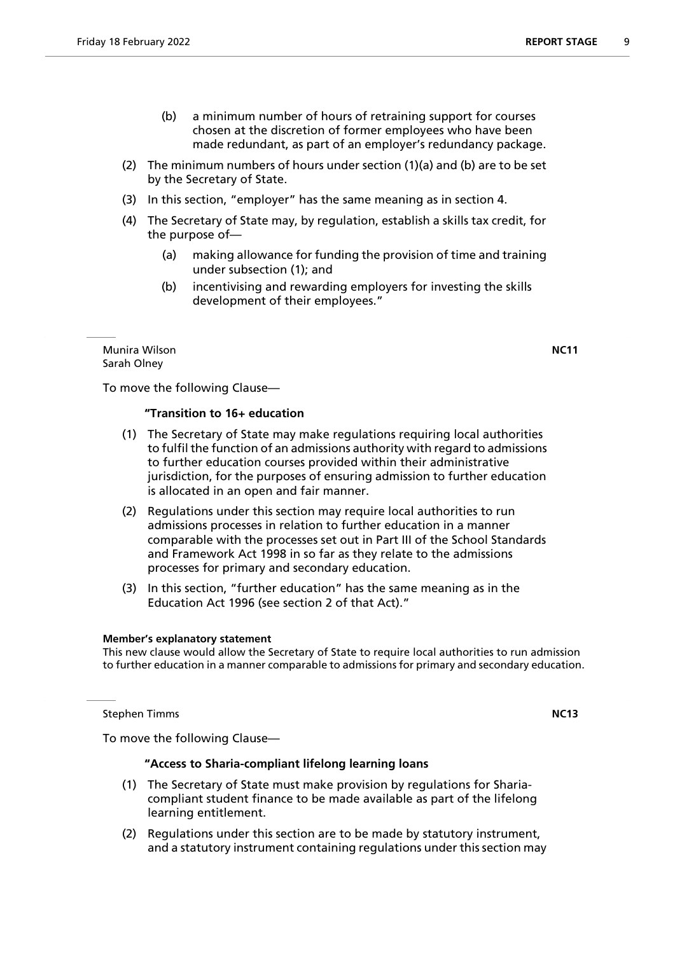- (2) The minimum numbers of hours under section (1)(a) and (b) are to be set by the Secretary of State.
- (3) In this section, "employer" has the same meaning as in section 4.
- (4) The Secretary of State may, by regulation, establish a skills tax credit, for the purpose of—
	- (a) making allowance for funding the provision of time and training under subsection (1); and
	- (b) incentivising and rewarding employers for investing the skills development of their employees."

Munira Wilson **NC11** Sarah Olney

To move the following Clause—

# **"Transition to 16+ education**

- (1) The Secretary of State may make regulations requiring local authorities to fulfil the function of an admissions authority with regard to admissions to further education courses provided within their administrative jurisdiction, for the purposes of ensuring admission to further education is allocated in an open and fair manner.
- (2) Regulations under this section may require local authorities to run admissions processes in relation to further education in a manner comparable with the processes set out in Part III of the School Standards and Framework Act 1998 in so far as they relate to the admissions processes for primary and secondary education.
- (3) In this section, "further education" has the same meaning as in the Education Act 1996 (see section 2 of that Act)."

#### **Member's explanatory statement**

This new clause would allow the Secretary of State to require local authorities to run admission to further education in a manner comparable to admissions for primary and secondary education.

**Stephen Timms NC13** 

To move the following Clause—

# **"Access to Sharia-compliant lifelong learning loans**

- (1) The Secretary of State must make provision by regulations for Shariacompliant student finance to be made available as part of the lifelong learning entitlement.
- (2) Regulations under this section are to be made by statutory instrument, and a statutory instrument containing regulations under this section may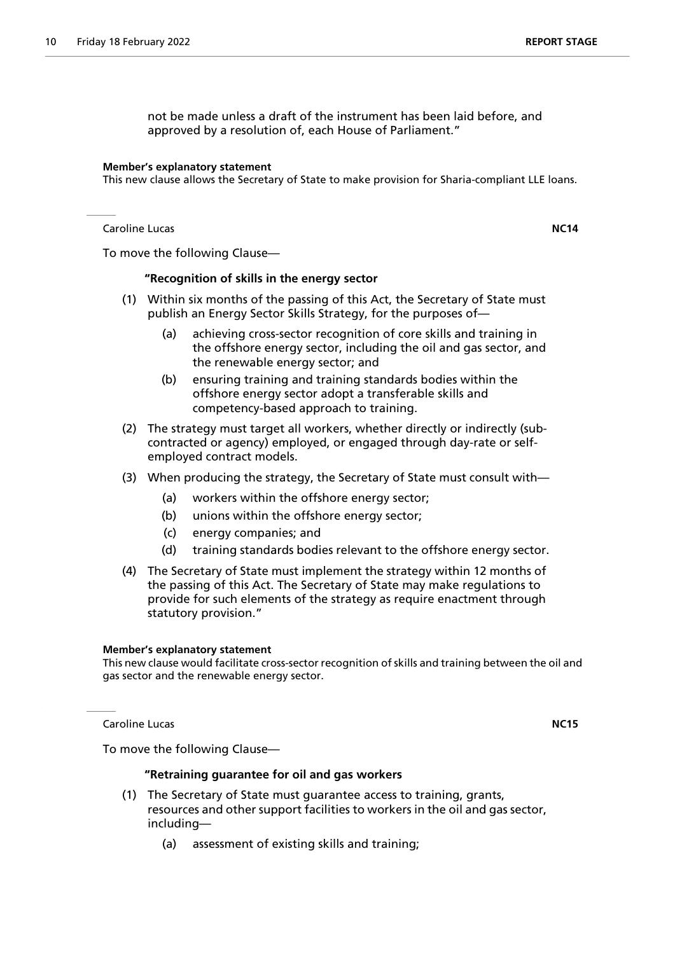not be made unless a draft of the instrument has been laid before, and approved by a resolution of, each House of Parliament."

#### **Member's explanatory statement**

This new clause allows the Secretary of State to make provision for Sharia-compliant LLE loans.

Caroline Lucas **NC14**

To move the following Clause—

#### **"Recognition of skills in the energy sector**

- (1) Within six months of the passing of this Act, the Secretary of State must publish an Energy Sector Skills Strategy, for the purposes of—
	- (a) achieving cross-sector recognition of core skills and training in the offshore energy sector, including the oil and gas sector, and the renewable energy sector; and
	- (b) ensuring training and training standards bodies within the offshore energy sector adopt a transferable skills and competency-based approach to training.
- (2) The strategy must target all workers, whether directly or indirectly (subcontracted or agency) employed, or engaged through day-rate or selfemployed contract models.
- (3) When producing the strategy, the Secretary of State must consult with—
	- (a) workers within the offshore energy sector;
	- (b) unions within the offshore energy sector;
	- (c) energy companies; and
	- (d) training standards bodies relevant to the offshore energy sector.
- (4) The Secretary of State must implement the strategy within 12 months of the passing of this Act. The Secretary of State may make regulations to provide for such elements of the strategy as require enactment through statutory provision."

# **Member's explanatory statement**

This new clause would facilitate cross-sector recognition of skills and training between the oil and gas sector and the renewable energy sector.

Caroline Lucas **NC15**

To move the following Clause—

#### **"Retraining guarantee for oil and gas workers**

- (1) The Secretary of State must guarantee access to training, grants, resources and other support facilities to workers in the oil and gas sector, including—
	- (a) assessment of existing skills and training;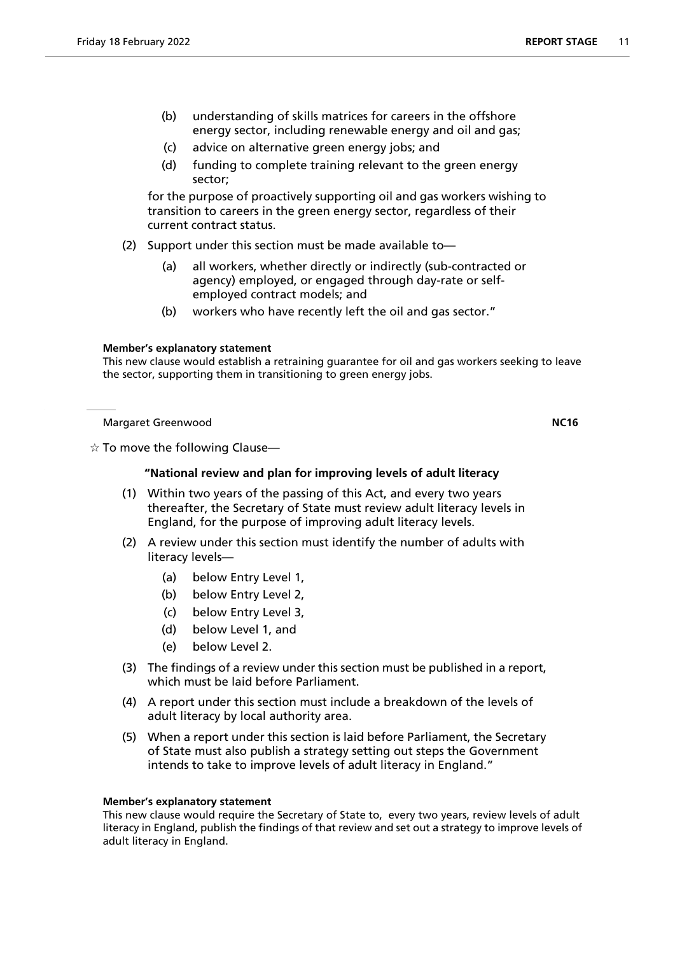- (b) understanding of skills matrices for careers in the offshore energy sector, including renewable energy and oil and gas;
- (c) advice on alternative green energy jobs; and
- (d) funding to complete training relevant to the green energy sector;

for the purpose of proactively supporting oil and gas workers wishing to transition to careers in the green energy sector, regardless of their current contract status.

- (2) Support under this section must be made available to—
	- (a) all workers, whether directly or indirectly (sub-contracted or agency) employed, or engaged through day-rate or selfemployed contract models; and
	- (b) workers who have recently left the oil and gas sector."

# **Member's explanatory statement**

This new clause would establish a retraining guarantee for oil and gas workers seeking to leave the sector, supporting them in transitioning to green energy jobs.

Margaret Greenwood **NC16**

 $\dot{\mathbb{X}}$  To move the following Clause—

# **"National review and plan for improving levels of adult literacy**

- (1) Within two years of the passing of this Act, and every two years thereafter, the Secretary of State must review adult literacy levels in England, for the purpose of improving adult literacy levels.
- (2) A review under this section must identify the number of adults with literacy levels—
	- (a) below Entry Level 1,
	- (b) below Entry Level 2,
	- (c) below Entry Level 3,
	- (d) below Level 1, and
	- (e) below Level 2.
- (3) The findings of a review under this section must be published in a report, which must be laid before Parliament.
- (4) A report under this section must include a breakdown of the levels of adult literacy by local authority area.
- (5) When a report under this section is laid before Parliament, the Secretary of State must also publish a strategy setting out steps the Government intends to take to improve levels of adult literacy in England."

#### **Member's explanatory statement**

This new clause would require the Secretary of State to, every two years, review levels of adult literacy in England, publish the findings of that review and set out a strategy to improve levels of adult literacy in England.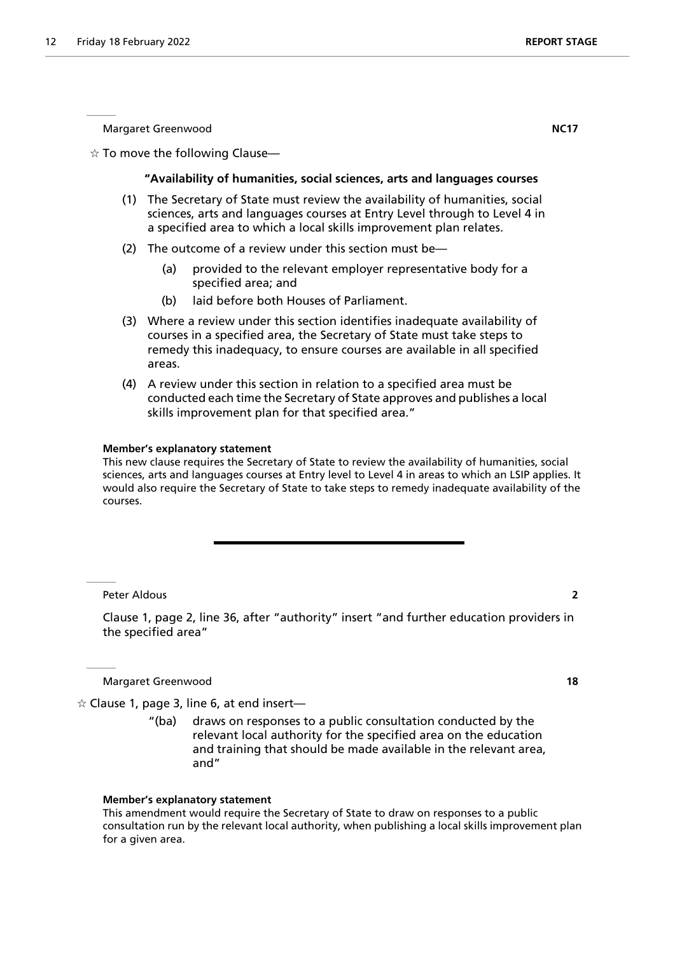Margaret Greenwood **NC17**

 $\dot{\varphi}$  To move the following Clause—

#### **"Availability of humanities, social sciences, arts and languages courses**

- (1) The Secretary of State must review the availability of humanities, social sciences, arts and languages courses at Entry Level through to Level 4 in a specified area to which a local skills improvement plan relates.
- (2) The outcome of a review under this section must be—
	- (a) provided to the relevant employer representative body for a specified area; and
	- (b) laid before both Houses of Parliament.
- (3) Where a review under this section identifies inadequate availability of courses in a specified area, the Secretary of State must take steps to remedy this inadequacy, to ensure courses are available in all specified areas.
- (4) A review under this section in relation to a specified area must be conducted each time the Secretary of State approves and publishes a local skills improvement plan for that specified area."

#### **Member's explanatory statement**

This new clause requires the Secretary of State to review the availability of humanities, social sciences, arts and languages courses at Entry level to Level 4 in areas to which an LSIP applies. It would also require the Secretary of State to take steps to remedy inadequate availability of the courses.

Peter Aldous **2**

Clause 1, page 2, line 36, after "authority" insert "and further education providers in the specified area"

Margaret Greenwood **18**

 $\alpha$  Clause 1, page 3, line 6, at end insert—

"(ba) draws on responses to a public consultation conducted by the relevant local authority for the specified area on the education and training that should be made available in the relevant area, and"

#### **Member's explanatory statement**

This amendment would require the Secretary of State to draw on responses to a public consultation run by the relevant local authority, when publishing a local skills improvement plan for a given area.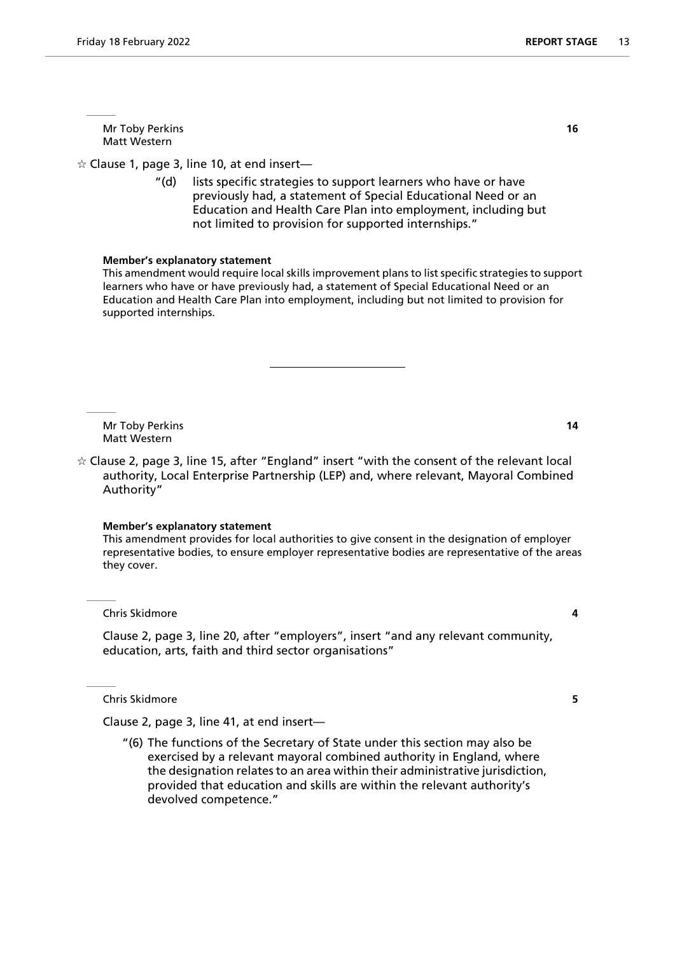Mr Toby Perkins **16** Matt Western

 $\hat{\varphi}$  Clause 1, page 3, line 10, at end insert—

"(d) lists specific strategies to support learners who have or have previously had, a statement of Special Educational Need or an Education and Health Care Plan into employment, including but not limited to provision for supported internships."

#### **Member's explanatory statement**

This amendment would require local skills improvement plans to list specific strategies to support learners who have or have previously had, a statement of Special Educational Need or an Education and Health Care Plan into employment, including but not limited to provision for supported internships.

Mr Toby Perkins **14** Matt Western

 $\dot{\mathbf{r}}$  Clause 2, page 3, line 15, after "England" insert "with the consent of the relevant local authority, Local Enterprise Partnership (LEP) and, where relevant, Mayoral Combined Authority"

#### **Member's explanatory statement**

This amendment provides for local authorities to give consent in the designation of employer representative bodies, to ensure employer representative bodies are representative of the areas they cover.

Chris Skidmore **4**

Clause 2, page 3, line 20, after "employers", insert "and any relevant community, education, arts, faith and third sector organisations"

Chris Skidmore **5**

Clause 2, page 3, line 41, at end insert—

"(6) The functions of the Secretary of State under this section may also be exercised by a relevant mayoral combined authority in England, where the designation relates to an area within their administrative jurisdiction, provided that education and skills are within the relevant authority's devolved competence."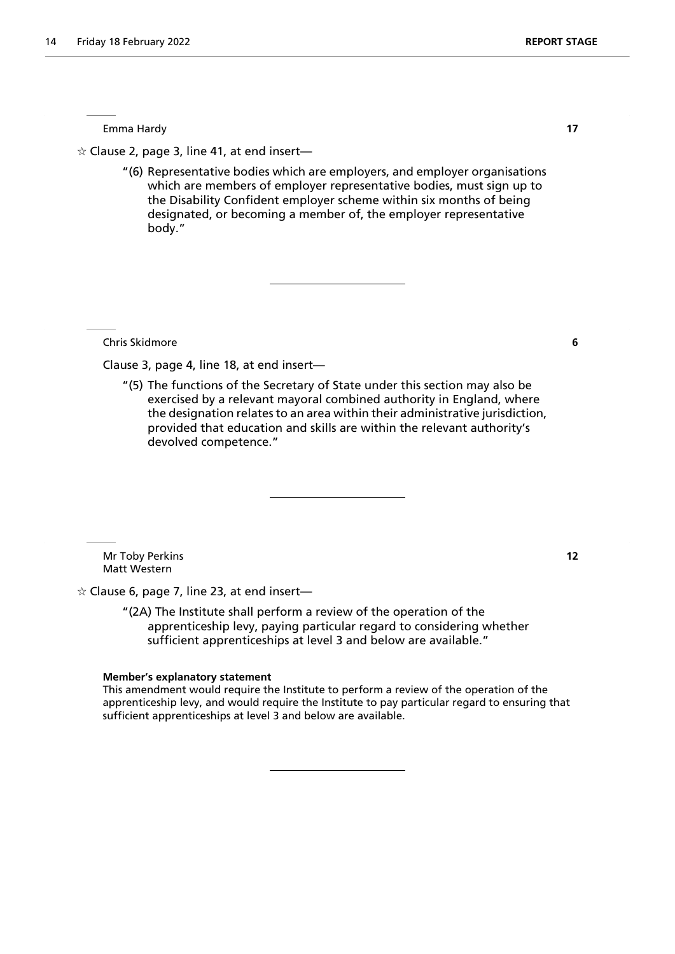Emma Hardy **17**

 $\alpha$  Clause 2, page 3, line 41, at end insert—

"(6) Representative bodies which are employers, and employer organisations which are members of employer representative bodies, must sign up to the Disability Confident employer scheme within six months of being designated, or becoming a member of, the employer representative body."

Chris Skidmore **6**

Clause 3, page 4, line 18, at end insert—

"(5) The functions of the Secretary of State under this section may also be exercised by a relevant mayoral combined authority in England, where the designation relates to an area within their administrative jurisdiction, provided that education and skills are within the relevant authority's devolved competence."

Mr Toby Perkins **12** Matt Western

 $\dot{\varphi}$  Clause 6, page 7, line 23, at end insert—

"(2A) The Institute shall perform a review of the operation of the apprenticeship levy, paying particular regard to considering whether sufficient apprenticeships at level 3 and below are available."

#### **Member's explanatory statement**

This amendment would require the Institute to perform a review of the operation of the apprenticeship levy, and would require the Institute to pay particular regard to ensuring that sufficient apprenticeships at level 3 and below are available.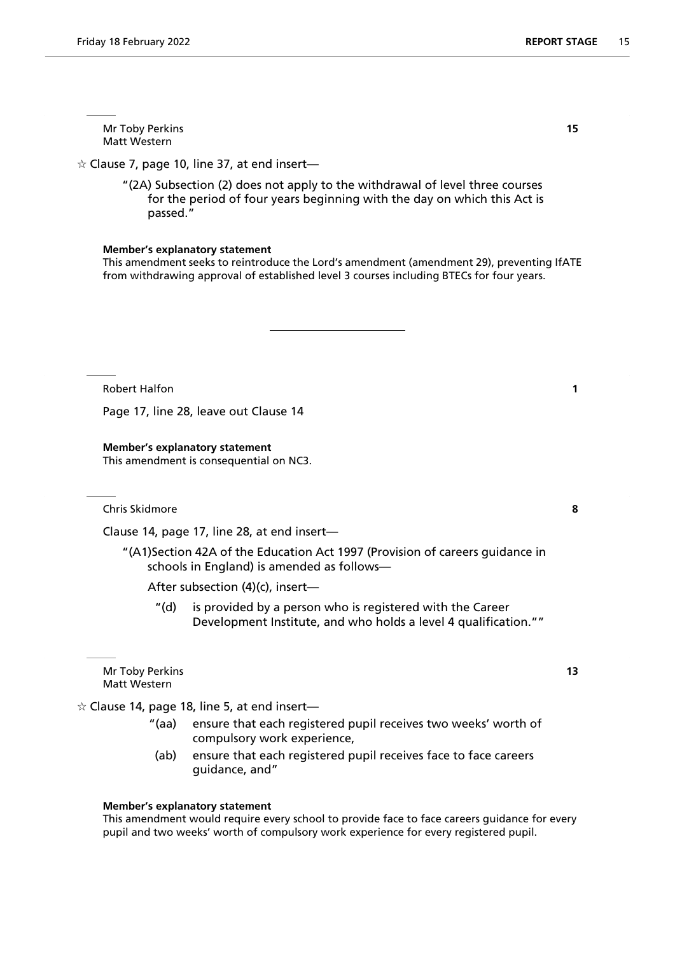Mr Toby Perkins **15** Matt Western

 $\dot{\varphi}$  Clause 7, page 10, line 37, at end insert—

"(2A) Subsection (2) does not apply to the withdrawal of level three courses for the period of four years beginning with the day on which this Act is passed."

#### **Member's explanatory statement**

This amendment seeks to reintroduce the Lord's amendment (amendment 29), preventing IfATE from withdrawing approval of established level 3 courses including BTECs for four years.

Robert Halfon **1** 

Page 17, line 28, leave out Clause 14

#### **Member's explanatory statement**

This amendment is consequential on NC3.

Chris Skidmore **8**

Clause 14, page 17, line 28, at end insert—

"(A1)Section 42A of the Education Act 1997 (Provision of careers guidance in schools in England) is amended as follows—

After subsection (4)(c), insert—

"(d) is provided by a person who is registered with the Career Development Institute, and who holds a level 4 qualification.""

Mr Toby Perkins **13** Matt Western

 $\hat{\varphi}$  Clause 14, page 18, line 5, at end insert—

- "(aa) ensure that each registered pupil receives two weeks' worth of compulsory work experience,
- (ab) ensure that each registered pupil receives face to face careers guidance, and"

#### **Member's explanatory statement**

This amendment would require every school to provide face to face careers guidance for every pupil and two weeks' worth of compulsory work experience for every registered pupil.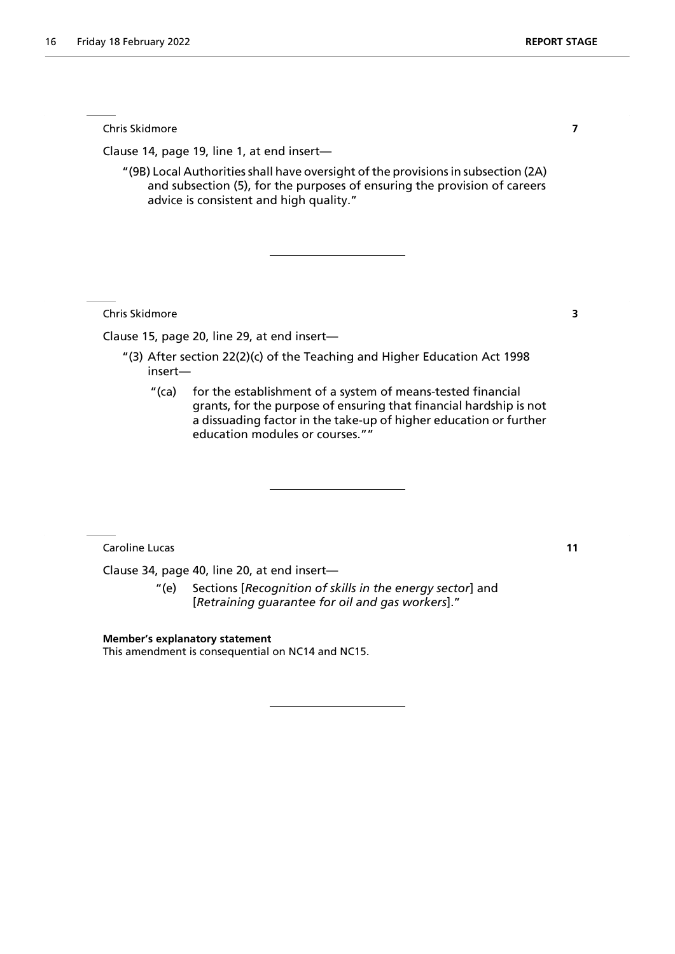Chris Skidmore **7**

Clause 14, page 19, line 1, at end insert—

"(9B) Local Authorities shall have oversight of the provisions in subsection (2A) and subsection (5), for the purposes of ensuring the provision of careers advice is consistent and high quality."

Chris Skidmore **3**

Clause 15, page 20, line 29, at end insert—

- "(3) After section 22(2)(c) of the Teaching and Higher Education Act 1998 insert—
	- "(ca) for the establishment of a system of means-tested financial grants, for the purpose of ensuring that financial hardship is not a dissuading factor in the take-up of higher education or further education modules or courses.""

Caroline Lucas **11**

Clause 34, page 40, line 20, at end insert—

"(e) Sections [*Recognition of skills in the energy sector*] and [*Retraining guarantee for oil and gas workers*]."

**Member's explanatory statement**

This amendment is consequential on NC14 and NC15.